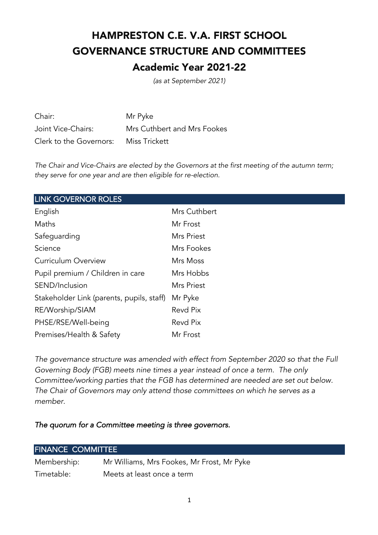# HAMPRESTON C.E. V.A. FIRST SCHOOL GOVERNANCE STRUCTURE AND COMMITTEES Academic Year 2021-22

*(as at September 2021)*

| Chair:                                | Mr Pyke                     |
|---------------------------------------|-----------------------------|
| Joint Vice-Chairs:                    | Mrs Cuthbert and Mrs Fookes |
| Clerk to the Governors: Miss Trickett |                             |

*The Chair and Vice-Chairs are elected by the Governors at the first meeting of the autumn term; they serve for one year and are then eligible for re-election.* 

| <b>LINK GOVERNOR ROLES</b>                |              |  |
|-------------------------------------------|--------------|--|
| English                                   | Mrs Cuthbert |  |
| Maths                                     | Mr Frost     |  |
| Safeguarding                              | Mrs Priest   |  |
| Science                                   | Mrs Fookes   |  |
| <b>Curriculum Overview</b>                | Mrs Moss     |  |
| Pupil premium / Children in care          | Mrs Hobbs    |  |
| SEND/Inclusion                            | Mrs Priest   |  |
| Stakeholder Link (parents, pupils, staff) | Mr Pyke      |  |
| RE/Worship/SIAM                           | Revd Pix     |  |
| PHSE/RSE/Well-being                       | Revd Pix     |  |
| Premises/Health & Safety                  | Mr Frost     |  |

*The governance structure was amended with effect from September 2020 so that the Full Governing Body (FGB) meets nine times a year instead of once a term. The only Committee/working parties that the FGB has determined are needed are set out below. The Chair of Governors may only attend those committees on which he serves as a member.* 

*The quorum for a Committee meeting is three governors.* 

| <b>FINANCE COMMITTEE</b> |                                            |  |
|--------------------------|--------------------------------------------|--|
| Membership:              | Mr Williams, Mrs Fookes, Mr Frost, Mr Pyke |  |
| Timetable:               | Meets at least once a term                 |  |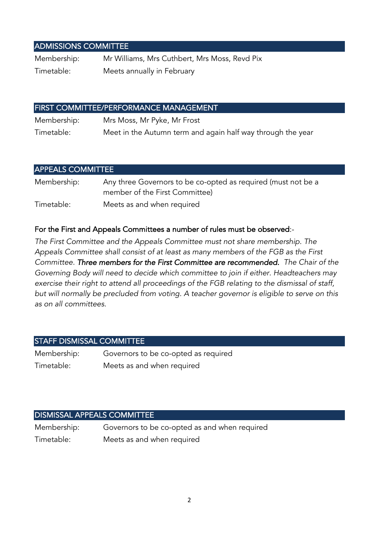## ADMISSIONS COMMITTEE

Membership: Mr Williams, Mrs Cuthbert, Mrs Moss, Revd Pix Timetable: Meets annually in February

## FIRST COMMITTEE/PERFORMANCE MANAGEMENT

Membership: Mrs Moss, Mr Pyke, Mr Frost Timetable: Meet in the Autumn term and again half way through the year

## APPEALS COMMITTEE Membership: Any three Governors to be co-opted as required (must not be a member of the First Committee) Timetable: Meets as and when required

### For the First and Appeals Committees a number of rules must be observed:-

*The First Committee and the Appeals Committee must not share membership. The Appeals Committee shall consist of at least as many members of the FGB as the First Committee. Three members for the First Committee are recommended. The Chair of the Governing Body will need to decide which committee to join if either. Headteachers may exercise their right to attend all proceedings of the FGB relating to the dismissal of staff, but will normally be precluded from voting. A teacher governor is eligible to serve on this as on all committees.* 

## STAFF DISMISSAL COMMITTEE

| Membership: | Governors to be co-opted as required |
|-------------|--------------------------------------|
| Timetable:  | Meets as and when required           |

#### DISMISSAL APPEALS COMMITTEE

| Membership: | Governors to be co-opted as and when required |
|-------------|-----------------------------------------------|
| Timetable:  | Meets as and when required                    |